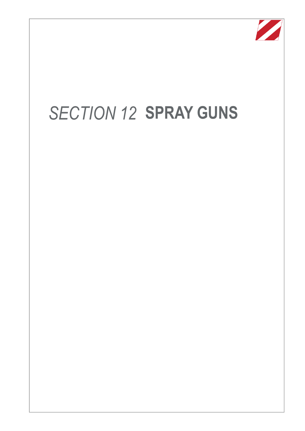

# *SECTION 12* **SPRAY GUNS**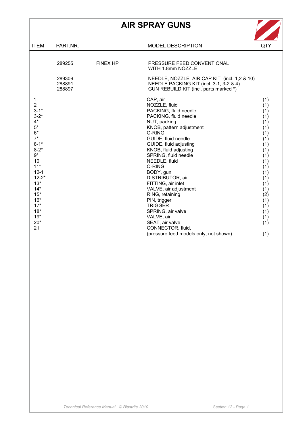# **AIR SPRAY GUNS**



| <b>ITEM</b>                                                                                                                                                                                                                                 | PART.NR.                   |                 | <b>MODEL DESCRIPTION</b>                                                                                                                                                                                                                                                                                                                                                                                                                                                       | QTY                                                                                                                                                           |
|---------------------------------------------------------------------------------------------------------------------------------------------------------------------------------------------------------------------------------------------|----------------------------|-----------------|--------------------------------------------------------------------------------------------------------------------------------------------------------------------------------------------------------------------------------------------------------------------------------------------------------------------------------------------------------------------------------------------------------------------------------------------------------------------------------|---------------------------------------------------------------------------------------------------------------------------------------------------------------|
|                                                                                                                                                                                                                                             |                            |                 |                                                                                                                                                                                                                                                                                                                                                                                                                                                                                |                                                                                                                                                               |
|                                                                                                                                                                                                                                             | 289255                     | <b>FINEX HP</b> | PRESSURE FEED CONVENTIONAL<br>WITH 1.8mm NOZZLE                                                                                                                                                                                                                                                                                                                                                                                                                                |                                                                                                                                                               |
|                                                                                                                                                                                                                                             | 289309<br>288891<br>288897 |                 | NEEDLE, NOZZLE AIR CAP KIT (incl. 1,2 & 10)<br>NEEDLE PACKING KIT (incl. 3-1, 3-2 & 4)<br>GUN REBUILD KIT (incl. parts marked *)                                                                                                                                                                                                                                                                                                                                               |                                                                                                                                                               |
| 1<br>$\overline{2}$<br>$3 - 1*$<br>$3 - 2^*$<br>$4^*$<br>$5*$<br>$6*$<br>$7^*$<br>$8 - 1*$<br>$8 - 2*$<br>$9^{\star}$<br>10<br>$11*$<br>$12 - 1$<br>$12 - 2*$<br>$13*$<br>$14*$<br>$15*$<br>$16*$<br>$17*$<br>$18*$<br>$19*$<br>$20*$<br>21 |                            |                 | CAP, air<br>NOZZLE, fluid<br>PACKING, fluid needle<br>PACKING, fluid needle<br>NUT, packing<br>KNOB, pattern adjustment<br>O-RING<br>GUIDE, fluid needle<br>GUIDE, fluid adjusting<br>KNOB, fluid adjusting<br>SPRING, fluid needle<br>NEEDLE, fluid<br>O-RING<br>BODY, gun<br>DISTRIBUTOR, air<br>FITTING, air inlet<br>VALVE, air adjustment<br>RING, retaining<br>PIN, trigger<br><b>TRIGGER</b><br>SPRING, air valve<br>VALVE, air<br>SEAT, air valve<br>CONNECTOR, fluid, | (1)<br>(1)<br>(1)<br>(1)<br>(1)<br>(1)<br>(1)<br>(1)<br>(1)<br>(1)<br>(1)<br>(1)<br>(1)<br>(1)<br>(1)<br>(1)<br>(1)<br>(2)<br>(1)<br>(1)<br>(1)<br>(1)<br>(1) |
|                                                                                                                                                                                                                                             |                            |                 | (pressure feed models only, not shown)                                                                                                                                                                                                                                                                                                                                                                                                                                         | (1)                                                                                                                                                           |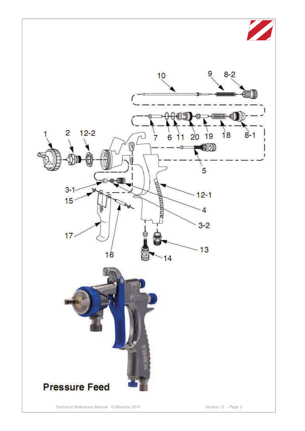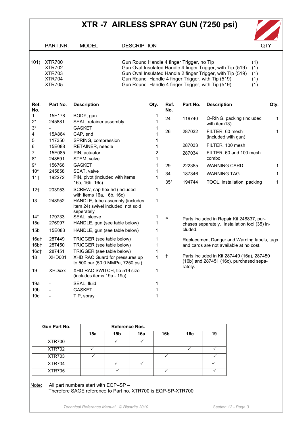# **XTR -7 AIRLESS SPRAY GUN (7250 psi)**



PART.NR. MODEL DESCRIPTION QTY

| 101) | XIR700        |
|------|---------------|
|      | XTR702        |
|      | XTR703        |
|      | <b>XTR704</b> |
|      | XTR705        |

101) XTR700 Gun Round Handle 4 finger Trigger, no Tip (1) XTR702 Gun Oval Insulated Handle 4 finger Trigger, with Tip (519) (1) XTR703 Gun Oval Insulated Handle 2 finger Trigger, with Tip (519) (1) XTR704 Gun Round Handle 4 finger Trigger, with Tip (519) (1) XTR705 Gun Round Handle 4 finger Trigger, with Tip (519) (1)

| Ref.<br>No.      | Part No.      | <b>Description</b>                                                    | Qty.                    | Ref.<br>No. | Part No. | <b>Description</b>                            | Qty. |
|------------------|---------------|-----------------------------------------------------------------------|-------------------------|-------------|----------|-----------------------------------------------|------|
| 1.               | 15E178        | BODY, gun                                                             | 1                       | 24          | 119740   |                                               | 1    |
| $2^*$            | 245881        | SEAL, retainer assembly                                               | 1                       |             |          | O-RING, packing (included<br>with item13)     |      |
| $3^*$            |               | <b>GASKET</b>                                                         | 1                       |             |          |                                               |      |
| 4                | 15A864        | CAP, end                                                              | 1                       | 26          | 287032   | FILTER, 60 mesh<br>(included with gun)        | 1    |
| 5                | 117350        | SPRING, compression                                                   | 1                       |             |          |                                               |      |
| 6                | 15E088        | RETAINER, needle                                                      | 1                       |             | 287033   | FILTER, 100 mesh                              |      |
| 7                | 15E085        | PIN, actuator                                                         | $\overline{\mathbf{c}}$ |             | 287034   | FILTER, 60 and 100 mesh                       |      |
| $8*$             | 248591        | STEM, valve                                                           | 1                       |             |          | combo                                         |      |
| $9*$             | 156766        | <b>GASKET</b>                                                         | 1                       | 29          | 222385   | <b>WARNING CARD</b>                           | 1    |
| $10*$            | 245858        | SEAT, valve                                                           | 1                       | 34          | 187346   | <b>WARNING TAG</b>                            | 1    |
| 11 <sub>†</sub>  | 192272        | PIN, pivot (included with items                                       | 1                       |             |          |                                               |      |
|                  |               | 16a, 16b, 16c)                                                        |                         | $35*$       | 194744   | TOOL, installation, packing                   | 1    |
| 12 <sub>†</sub>  | 203953        | SCREW, cap hex hd (included                                           | 1                       |             |          |                                               |      |
|                  |               | with items 16a, 16b, 16c)                                             |                         |             |          |                                               |      |
| 13               | 248952        | HANDLE, tube assembly (includes<br>item 24) swivel included, not sold | 1                       |             |          |                                               |      |
|                  |               | seperately                                                            |                         |             |          |                                               |      |
| $14*$            | 179733        | SEAL, sleeve                                                          | 1                       | $\ast$      |          | Parts included in Repair Kit 248837, pur-     |      |
| 15a              | 276997        | HANDLE, gun (see table below)                                         | 1                       |             |          | chases separately. Installation tool (35) in- |      |
| 15 <sub>b</sub>  | 15E083        | HANDLE, gun (see table below)                                         | 1                       |             | cluded.  |                                               |      |
| 16a <sub>†</sub> | 287449        | TRIGGER (see table below)                                             | 1                       |             |          | Replacement Danger and Warning labels, tags   |      |
| 16 <sub>b</sub>  | 287450        | TRIGGER (see table below)                                             | 1                       |             |          | and cards are not available at no cost.       |      |
| 16 <sub>ct</sub> | 287451        | TRIGGER (see table below)                                             | 1                       |             |          |                                               |      |
| 18               | XHD001        | XHD RAC Guard for pressures up                                        | 1                       | Ť           |          | Parts included in Kit 287449 (16a), 287450    |      |
|                  |               | to 500 bar (50.0 MMPa, 7250 psi)                                      |                         |             |          | (16b) and 287451 (16c), purchased sepa-       |      |
| 19               | <b>XHDxxx</b> | XHD RAC SWITCH, tip 519 size                                          | 1                       |             | rately.  |                                               |      |
|                  |               | (includes items 19a - 19c)                                            |                         |             |          |                                               |      |
| 19a              |               | SEAL, fluid                                                           | 1                       |             |          |                                               |      |
| 19 <sub>b</sub>  |               | <b>GASKET</b>                                                         | 1                       |             |          |                                               |      |
| 19 <sub>c</sub>  |               |                                                                       |                         |             |          |                                               |      |

| <b>Gun Part No.</b> | <b>Reference Nos.</b> |                 |     |                 |     |    |
|---------------------|-----------------------|-----------------|-----|-----------------|-----|----|
|                     | 15a                   | 15 <sub>b</sub> | 16a | 16 <sub>b</sub> | 16c | 19 |
| <b>XTR700</b>       |                       |                 |     |                 |     |    |
| <b>XTR702</b>       |                       |                 |     |                 |     |    |
| <b>XTR703</b>       |                       |                 |     |                 |     |    |
| <b>XTR704</b>       |                       |                 |     |                 |     |    |
| <b>XTR705</b>       |                       |                 |     |                 |     |    |

Note: All part numbers start with EQP-SP -Therefore SAGE reference to Part no. XTR700 is EQP-SP-XTR700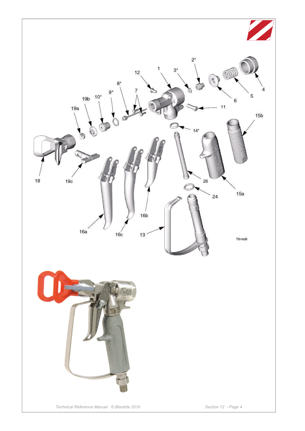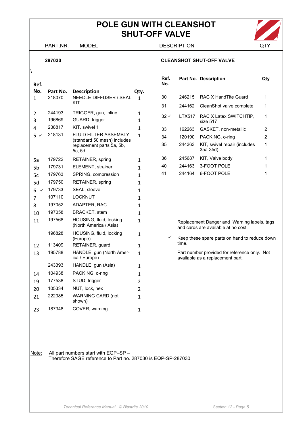## **POLE GUN WITH CLEANSHOT SHUT-OFF VALVE**



PART.NR. MODEL DESCRIPTION QTY

#### **287030 CLEANSHOT SHUT-OFF VALVE**

### **Ref.**

**\** 

| No.<br>1          | Part No.<br>218070 | <b>Description</b><br>NEEDLE-DIFFUSER / SEAL<br>KIT                                                | Qty.<br>1      |
|-------------------|--------------------|----------------------------------------------------------------------------------------------------|----------------|
| 2                 | 244193             | TRIGGER, gun, inline                                                                               | 1              |
| 3                 | 196869             | GUARD, trigger                                                                                     | 1              |
| 4                 | 238817             | KIT, swivel 1                                                                                      | $\mathbf{1}$   |
| 5                 | 218131             | <b>FLUID FILTER ASSEMBLY</b><br>(standard 50 mesh) includes<br>replacement parts 5a, 5b,<br>5c, 5d | 1              |
| 5a                | 179722             | RETAINER, spring                                                                                   | 1              |
| 5 <sub>b</sub>    | 179731             | <b>ELEMENT, strainer</b>                                                                           | 1              |
| 5c                | 179763             | SPRING, compression                                                                                | 1              |
| 5d                | 179750             | RETAINER, spring                                                                                   | 1              |
| 6<br>$\checkmark$ | 179733             | SEAL, sleeve                                                                                       | 1              |
| 7                 | 107110             | <b>LOCKNUT</b>                                                                                     | 1              |
| 8                 | 197052             | ADAPTER, RAC                                                                                       | 1              |
| 10                | 197058             | <b>BRACKET, stem</b>                                                                               | 1              |
| 11                | 197568             | HOUSING, fluid, locking<br>(North America / Asia)                                                  | 1              |
|                   | 196828             | HOUSING, fluid, locking<br>(Europe)                                                                | 1              |
| 12                | 113409             | RETAINER, guard                                                                                    | 1              |
| 13                | 195788             | HANDLE, gun (North Amer-<br>ica / Europe)                                                          | 1              |
|                   | 243393             | HANDLE, gun (Asia)                                                                                 | 1              |
| 14                | 104938             | PACKING, o-ring                                                                                    | 1              |
| 19                | 177538             | STUD, trigger                                                                                      | $\overline{2}$ |
| 20                | 105334             | NUT, lock, hex                                                                                     | 2              |
| 21                | 222385             | <b>WARNING CARD (not</b><br>shown)                                                                 | 1              |
| 23                | 187348             | COVER, warning                                                                                     | $\mathbf{1}$   |

| Ref.<br>No.     |        | Part No. Description                      | Qtv |
|-----------------|--------|-------------------------------------------|-----|
| 30              | 246215 | RAC X Hand Tite Guard                     | 1   |
| 31              | 244162 | CleanShot valve complete                  | 1   |
| $32 \checkmark$ | LTX517 | RAC X Latex SWITCHTIP.<br>size 517        | 1   |
| 33              | 162263 | GASKET, non-metallic                      | 2   |
| 34              | 120190 | PACKING, o-ring                           | 2   |
| 35              | 244363 | KIT, swivel repair (includes<br>$35a-35d$ | 1   |
| 36              | 245687 | KIT, Valve body                           | 1   |
| 40              | 244163 | 3-FOOT POLE                               | 1   |
| 41              | 244164 | 6-FOOT POLE                               |     |

Replacement Danger and Warning labels, tags and cards are available at no cost.

 $\checkmark$  Keep these spare parts on hand to reduce down time.

Part number provided for reference only. Not available as a replacement part.

Note: All part numbers start with EQP–SP – Therefore SAGE reference to Part no. 287030 is EQP-SP-287030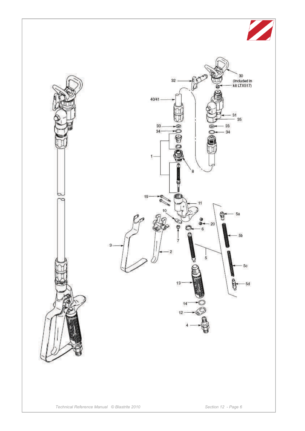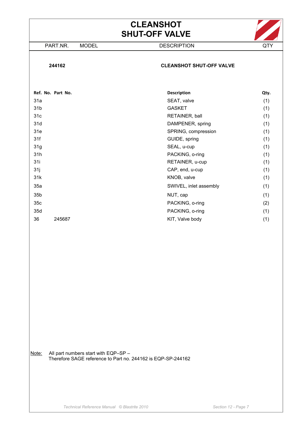# **CLEANSHOT SHUT-OFF VALVE**

PART.NR. MODEL DESCRIPTION QTY



#### **244162 CLEANSHOT SHUT-OFF VALVE**

|                 | Ref. No. Part No. | <b>Description</b>     | Qty. |
|-----------------|-------------------|------------------------|------|
| 31a             |                   | SEAT, valve            | (1)  |
| 31 <sub>b</sub> |                   | <b>GASKET</b>          | (1)  |
| 31 <sub>c</sub> |                   | RETAINER, ball         | (1)  |
| 31d             |                   | DAMPENER, spring       | (1)  |
| 31e             |                   | SPRING, compression    | (1)  |
| 31f             |                   | GUIDE, spring          | (1)  |
| 31g             |                   | SEAL, u-cup            | (1)  |
| 31h             |                   | PACKING, o-ring        | (1)  |
| 31i             |                   | RETAINER, u-cup        | (1)  |
| 31j             |                   | CAP, end, u-cup        | (1)  |
| 31k             |                   | KNOB, valve            | (1)  |
| 35a             |                   | SWIVEL, inlet assembly | (1)  |
| 35 <sub>b</sub> |                   | NUT, cap               | (1)  |
| 35c             |                   | PACKING, o-ring        | (2)  |
| 35d             |                   | PACKING, o-ring        | (1)  |
| 36              | 245687            | KIT, Valve body        | (1)  |
|                 |                   |                        |      |

Note: All part numbers start with EQP-SP -Therefore SAGE reference to Part no. 244162 is EQP-SP-244162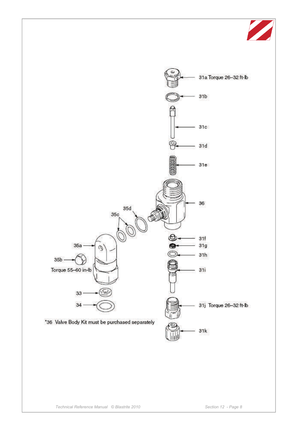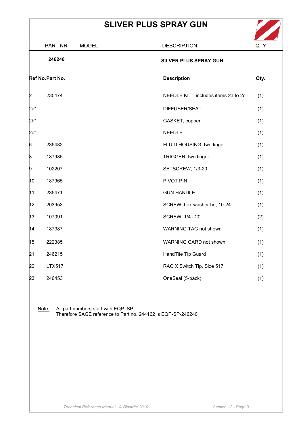# **SLIVER PLUS SPRAY GUN**



|        | <b>MODEL</b><br>PART.NR.                      | <b>DESCRIPTION</b>                                           | QTY  |
|--------|-----------------------------------------------|--------------------------------------------------------------|------|
|        | 246240                                        | SILVER PLUS SPRAY GUN                                        |      |
|        | Ref No. Part No.                              | <b>Description</b>                                           | Qty. |
| 2      | 235474                                        | NEEDLE KIT - includes items 2a to 2c                         | (1)  |
| 2a*    |                                               | DIFFUSER/SEAT                                                | (1)  |
| 2b*    |                                               | GASKET, copper                                               | (1)  |
| $2c^*$ |                                               | <b>NEEDLE</b>                                                | (1)  |
| 6      | 235482                                        | FLUID HOUSING, two finger                                    | (1)  |
| β      | 187985                                        | TRIGGER, two finger                                          | (1)  |
| 9      | 102207                                        | SETSCREW, 1/3-20                                             | (1)  |
| 10     | 187965                                        | PIVOT PIN                                                    | (1)  |
| 11     | 235471                                        | <b>GUN HANDLE</b>                                            | (1)  |
| 12     | 203953                                        | SCREW, hex washer hd, 10-24                                  | (1)  |
| 13     | 107091                                        | SCREW, 1/4 - 20                                              | (2)  |
| 14     | 187987                                        | WARNING TAG not shown                                        | (1)  |
| 15     | 222385                                        | WARNING CARD not shown                                       | (1)  |
| 21     | 246215                                        | HandTite Tip Guard                                           | (1)  |
| 22     | <b>LTX517</b>                                 | RAC X Switch Tip, Size 517                                   | (1)  |
| 23     | 246453                                        | OneSeal (5-pack)                                             | (1)  |
|        |                                               |                                                              |      |
|        | Note:<br>All part numbers start with EQP-SP - | Therefore SAGE reference to Part no. 244162 is EQP-SP-246240 |      |
|        |                                               |                                                              |      |